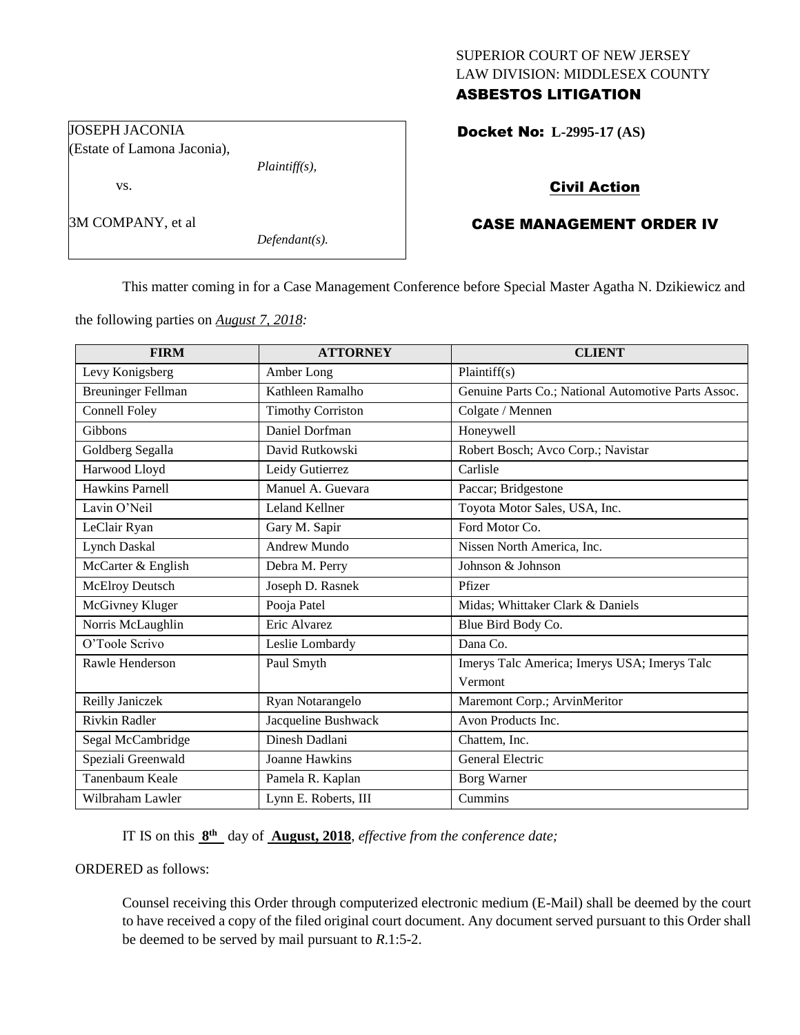## SUPERIOR COURT OF NEW JERSEY LAW DIVISION: MIDDLESEX COUNTY ASBESTOS LITIGATION

Docket No: **L-2995-17 (AS)** 

# Civil Action

# CASE MANAGEMENT ORDER IV

This matter coming in for a Case Management Conference before Special Master Agatha N. Dzikiewicz and

the following parties on *August 7, 2018:*

| <b>FIRM</b>               | <b>ATTORNEY</b>          | <b>CLIENT</b>                                       |
|---------------------------|--------------------------|-----------------------------------------------------|
| Levy Konigsberg           | Amber Long               | Plaintiff $(s)$                                     |
| <b>Breuninger Fellman</b> | Kathleen Ramalho         | Genuine Parts Co.; National Automotive Parts Assoc. |
| <b>Connell Foley</b>      | <b>Timothy Corriston</b> | Colgate / Mennen                                    |
| Gibbons                   | Daniel Dorfman           | Honeywell                                           |
| Goldberg Segalla          | David Rutkowski          | Robert Bosch; Avco Corp.; Navistar                  |
| Harwood Lloyd             | Leidy Gutierrez          | Carlisle                                            |
| <b>Hawkins Parnell</b>    | Manuel A. Guevara        | Paccar; Bridgestone                                 |
| Lavin O'Neil              | Leland Kellner           | Toyota Motor Sales, USA, Inc.                       |
| LeClair Ryan              | Gary M. Sapir            | Ford Motor Co.                                      |
| <b>Lynch Daskal</b>       | <b>Andrew Mundo</b>      | Nissen North America, Inc.                          |
| McCarter & English        | Debra M. Perry           | Johnson & Johnson                                   |
| <b>McElroy Deutsch</b>    | Joseph D. Rasnek         | Pfizer                                              |
| McGivney Kluger           | Pooja Patel              | Midas; Whittaker Clark & Daniels                    |
| Norris McLaughlin         | Eric Alvarez             | Blue Bird Body Co.                                  |
| O'Toole Scrivo            | Leslie Lombardy          | Dana Co.                                            |
| Rawle Henderson           | Paul Smyth               | Imerys Talc America; Imerys USA; Imerys Talc        |
|                           |                          | Vermont                                             |
| Reilly Janiczek           | Ryan Notarangelo         | Maremont Corp.; ArvinMeritor                        |
| <b>Rivkin Radler</b>      | Jacqueline Bushwack      | Avon Products Inc.                                  |
| Segal McCambridge         | Dinesh Dadlani           | Chattem, Inc.                                       |
| Speziali Greenwald        | Joanne Hawkins           | General Electric                                    |
| Tanenbaum Keale           | Pamela R. Kaplan         | <b>Borg Warner</b>                                  |
| Wilbraham Lawler          | Lynn E. Roberts, III     | Cummins                                             |

IT IS on this  $8<sup>th</sup>$  day of **August, 2018**, *effective from the conference date*;

ORDERED as follows:

Counsel receiving this Order through computerized electronic medium (E-Mail) shall be deemed by the court to have received a copy of the filed original court document. Any document served pursuant to this Order shall be deemed to be served by mail pursuant to *R*.1:5-2.

JOSEPH JACONIA (Estate of Lamona Jaconia),

vs.

3M COMPANY, et al

*Defendant(s).*

*Plaintiff(s),*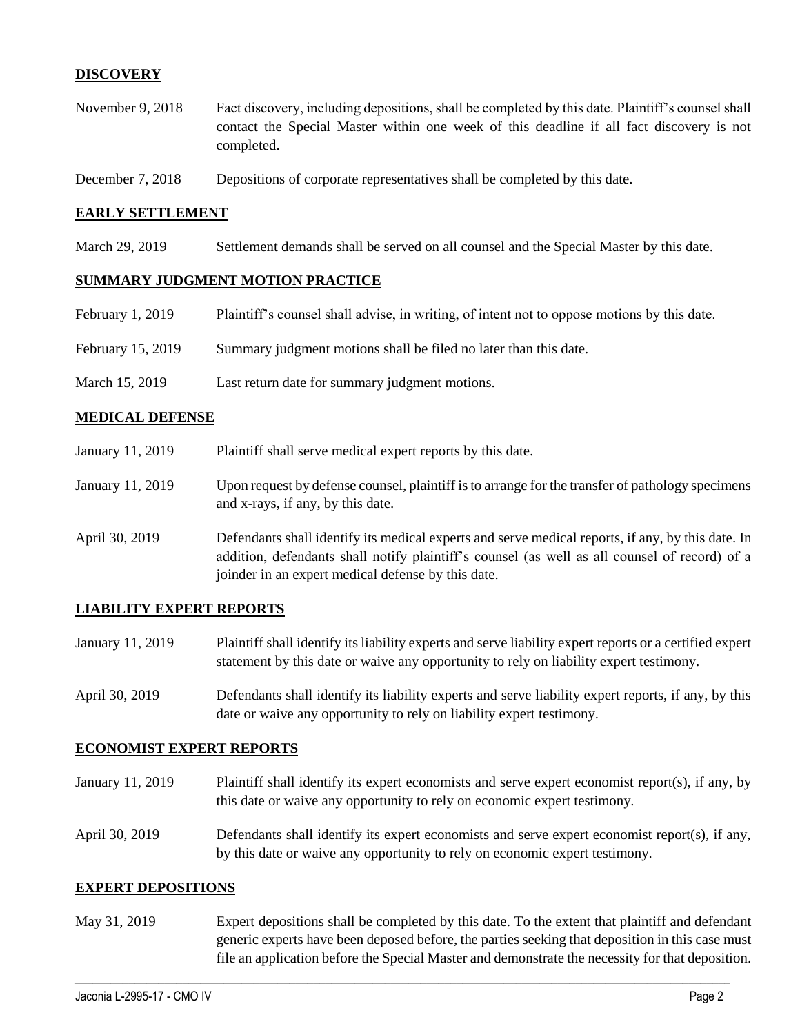## **DISCOVERY**

- November 9, 2018 Fact discovery, including depositions, shall be completed by this date. Plaintiff's counsel shall contact the Special Master within one week of this deadline if all fact discovery is not completed.
- December 7, 2018 Depositions of corporate representatives shall be completed by this date.

#### **EARLY SETTLEMENT**

March 29, 2019 Settlement demands shall be served on all counsel and the Special Master by this date.

### **SUMMARY JUDGMENT MOTION PRACTICE**

| February 1, 2019  | Plaintiff's counsel shall advise, in writing, of intent not to oppose motions by this date. |
|-------------------|---------------------------------------------------------------------------------------------|
| February 15, 2019 | Summary judgment motions shall be filed no later than this date.                            |
| March 15, 2019    | Last return date for summary judgment motions.                                              |

#### **MEDICAL DEFENSE**

| January 11, 2019 | Plaintiff shall serve medical expert reports by this date.                                                                                                                                                                                               |
|------------------|----------------------------------------------------------------------------------------------------------------------------------------------------------------------------------------------------------------------------------------------------------|
| January 11, 2019 | Upon request by defense counsel, plaintiff is to arrange for the transfer of pathology specimens<br>and x-rays, if any, by this date.                                                                                                                    |
| April 30, 2019   | Defendants shall identify its medical experts and serve medical reports, if any, by this date. In<br>addition, defendants shall notify plaintiff's counsel (as well as all counsel of record) of a<br>joinder in an expert medical defense by this date. |

### **LIABILITY EXPERT REPORTS**

- January 11, 2019 Plaintiff shall identify its liability experts and serve liability expert reports or a certified expert statement by this date or waive any opportunity to rely on liability expert testimony.
- April 30, 2019 Defendants shall identify its liability experts and serve liability expert reports, if any, by this date or waive any opportunity to rely on liability expert testimony.

#### **ECONOMIST EXPERT REPORTS**

- January 11, 2019 Plaintiff shall identify its expert economists and serve expert economist report(s), if any, by this date or waive any opportunity to rely on economic expert testimony.
- April 30, 2019 Defendants shall identify its expert economists and serve expert economist report(s), if any, by this date or waive any opportunity to rely on economic expert testimony.

#### **EXPERT DEPOSITIONS**

May 31, 2019 Expert depositions shall be completed by this date. To the extent that plaintiff and defendant generic experts have been deposed before, the parties seeking that deposition in this case must file an application before the Special Master and demonstrate the necessity for that deposition.

 $\_$  ,  $\_$  ,  $\_$  ,  $\_$  ,  $\_$  ,  $\_$  ,  $\_$  ,  $\_$  ,  $\_$  ,  $\_$  ,  $\_$  ,  $\_$  ,  $\_$  ,  $\_$  ,  $\_$  ,  $\_$  ,  $\_$  ,  $\_$  ,  $\_$  ,  $\_$  ,  $\_$  ,  $\_$  ,  $\_$  ,  $\_$  ,  $\_$  ,  $\_$  ,  $\_$  ,  $\_$  ,  $\_$  ,  $\_$  ,  $\_$  ,  $\_$  ,  $\_$  ,  $\_$  ,  $\_$  ,  $\_$  ,  $\_$  ,